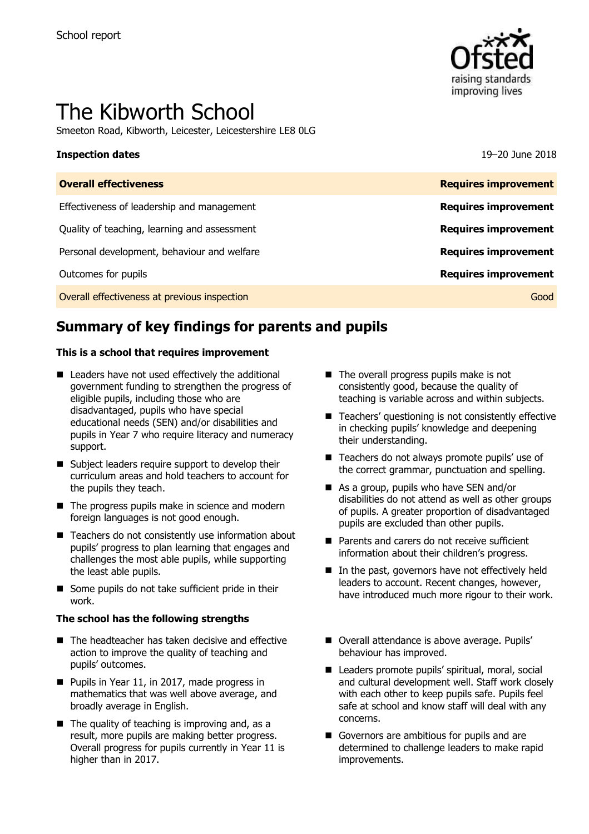

# The Kibworth School

Smeeton Road, Kibworth, Leicester, Leicestershire LE8 0LG

### **Inspection dates** 19–20 June 2018

| <b>Requires improvement</b> |
|-----------------------------|
| <b>Requires improvement</b> |
| <b>Requires improvement</b> |
| <b>Requires improvement</b> |
| <b>Requires improvement</b> |
| Good                        |
|                             |

# **Summary of key findings for parents and pupils**

### **This is a school that requires improvement**

- Leaders have not used effectively the additional government funding to strengthen the progress of eligible pupils, including those who are disadvantaged, pupils who have special educational needs (SEN) and/or disabilities and pupils in Year 7 who require literacy and numeracy support.
- Subject leaders require support to develop their curriculum areas and hold teachers to account for the pupils they teach.
- $\blacksquare$  The progress pupils make in science and modern foreign languages is not good enough.
- Teachers do not consistently use information about pupils' progress to plan learning that engages and challenges the most able pupils, while supporting the least able pupils.
- Some pupils do not take sufficient pride in their work.

### **The school has the following strengths**

- The headteacher has taken decisive and effective action to improve the quality of teaching and pupils' outcomes.
- Pupils in Year 11, in 2017, made progress in mathematics that was well above average, and broadly average in English.
- $\blacksquare$  The quality of teaching is improving and, as a result, more pupils are making better progress. Overall progress for pupils currently in Year 11 is higher than in 2017.
- The overall progress pupils make is not consistently good, because the quality of teaching is variable across and within subjects.
- Teachers' questioning is not consistently effective in checking pupils' knowledge and deepening their understanding.
- Teachers do not always promote pupils' use of the correct grammar, punctuation and spelling.
- As a group, pupils who have SEN and/or disabilities do not attend as well as other groups of pupils. A greater proportion of disadvantaged pupils are excluded than other pupils.
- Parents and carers do not receive sufficient information about their children's progress.
- In the past, governors have not effectively held leaders to account. Recent changes, however, have introduced much more rigour to their work.
- Overall attendance is above average. Pupils' behaviour has improved.
- Leaders promote pupils' spiritual, moral, social and cultural development well. Staff work closely with each other to keep pupils safe. Pupils feel safe at school and know staff will deal with any concerns.
- Governors are ambitious for pupils and are determined to challenge leaders to make rapid improvements.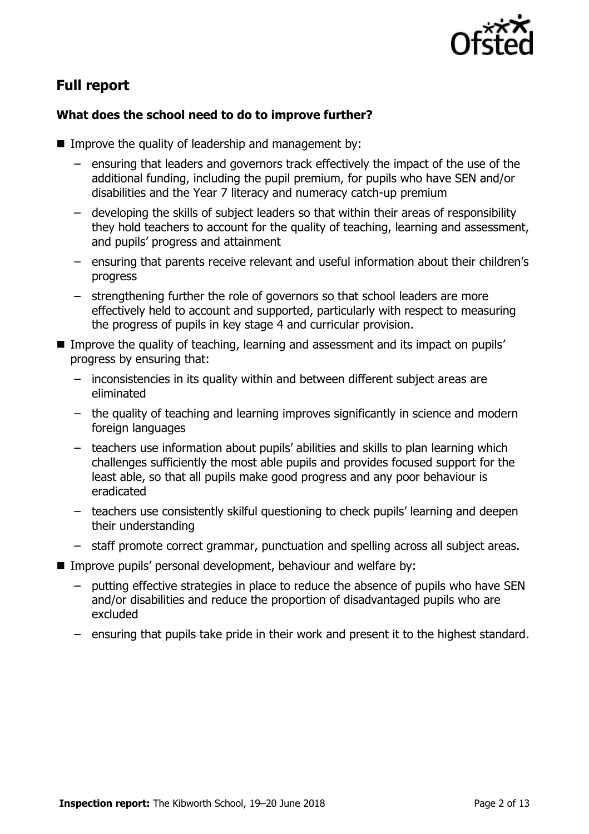

## **Full report**

### **What does the school need to do to improve further?**

- Improve the quality of leadership and management by:
	- ensuring that leaders and governors track effectively the impact of the use of the additional funding, including the pupil premium, for pupils who have SEN and/or disabilities and the Year 7 literacy and numeracy catch-up premium
	- developing the skills of subject leaders so that within their areas of responsibility they hold teachers to account for the quality of teaching, learning and assessment, and pupils' progress and attainment
	- ensuring that parents receive relevant and useful information about their children's progress
	- strengthening further the role of governors so that school leaders are more effectively held to account and supported, particularly with respect to measuring the progress of pupils in key stage 4 and curricular provision.
- Improve the quality of teaching, learning and assessment and its impact on pupils' progress by ensuring that:
	- inconsistencies in its quality within and between different subject areas are eliminated
	- the quality of teaching and learning improves significantly in science and modern foreign languages
	- teachers use information about pupils' abilities and skills to plan learning which challenges sufficiently the most able pupils and provides focused support for the least able, so that all pupils make good progress and any poor behaviour is eradicated
	- teachers use consistently skilful questioning to check pupils' learning and deepen their understanding
	- staff promote correct grammar, punctuation and spelling across all subject areas.
- Improve pupils' personal development, behaviour and welfare by:
	- putting effective strategies in place to reduce the absence of pupils who have SEN and/or disabilities and reduce the proportion of disadvantaged pupils who are excluded
	- ensuring that pupils take pride in their work and present it to the highest standard.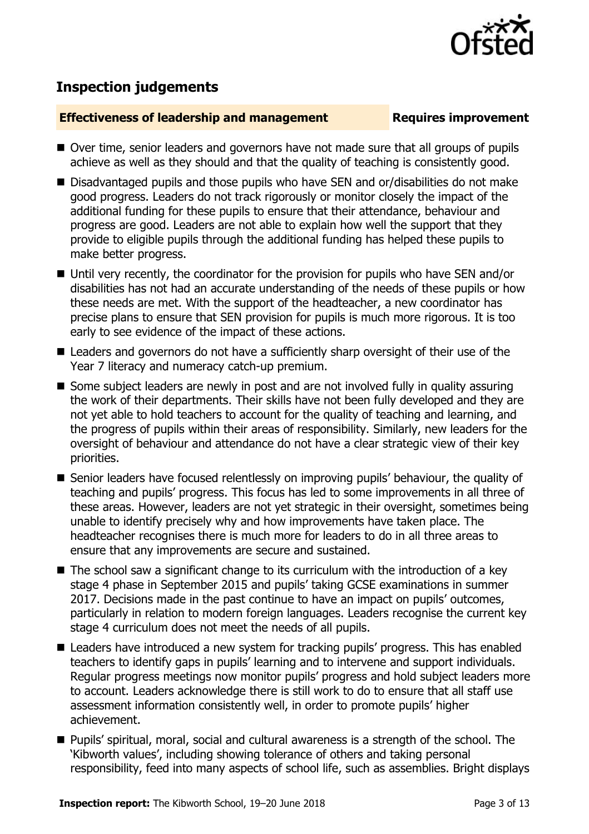

# **Inspection judgements**

### **Effectiveness of leadership and management Requires improvement**

- Over time, senior leaders and governors have not made sure that all groups of pupils achieve as well as they should and that the quality of teaching is consistently good.
- Disadvantaged pupils and those pupils who have SEN and or/disabilities do not make good progress. Leaders do not track rigorously or monitor closely the impact of the additional funding for these pupils to ensure that their attendance, behaviour and progress are good. Leaders are not able to explain how well the support that they provide to eligible pupils through the additional funding has helped these pupils to make better progress.
- Until very recently, the coordinator for the provision for pupils who have SEN and/or disabilities has not had an accurate understanding of the needs of these pupils or how these needs are met. With the support of the headteacher, a new coordinator has precise plans to ensure that SEN provision for pupils is much more rigorous. It is too early to see evidence of the impact of these actions.
- Leaders and governors do not have a sufficiently sharp oversight of their use of the Year 7 literacy and numeracy catch-up premium.
- Some subject leaders are newly in post and are not involved fully in quality assuring the work of their departments. Their skills have not been fully developed and they are not yet able to hold teachers to account for the quality of teaching and learning, and the progress of pupils within their areas of responsibility. Similarly, new leaders for the oversight of behaviour and attendance do not have a clear strategic view of their key priorities.
- Senior leaders have focused relentlessly on improving pupils' behaviour, the quality of teaching and pupils' progress. This focus has led to some improvements in all three of these areas. However, leaders are not yet strategic in their oversight, sometimes being unable to identify precisely why and how improvements have taken place. The headteacher recognises there is much more for leaders to do in all three areas to ensure that any improvements are secure and sustained.
- $\blacksquare$  The school saw a significant change to its curriculum with the introduction of a key stage 4 phase in September 2015 and pupils' taking GCSE examinations in summer 2017. Decisions made in the past continue to have an impact on pupils' outcomes, particularly in relation to modern foreign languages. Leaders recognise the current key stage 4 curriculum does not meet the needs of all pupils.
- Leaders have introduced a new system for tracking pupils' progress. This has enabled teachers to identify gaps in pupils' learning and to intervene and support individuals. Regular progress meetings now monitor pupils' progress and hold subject leaders more to account. Leaders acknowledge there is still work to do to ensure that all staff use assessment information consistently well, in order to promote pupils' higher achievement.
- Pupils' spiritual, moral, social and cultural awareness is a strength of the school. The 'Kibworth values', including showing tolerance of others and taking personal responsibility, feed into many aspects of school life, such as assemblies. Bright displays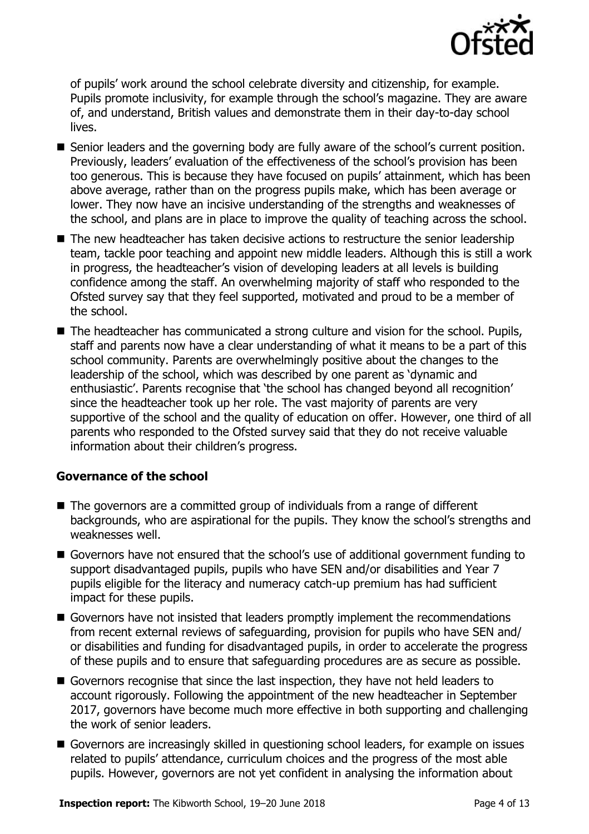

of pupils' work around the school celebrate diversity and citizenship, for example. Pupils promote inclusivity, for example through the school's magazine. They are aware of, and understand, British values and demonstrate them in their day-to-day school lives.

- Senior leaders and the governing body are fully aware of the school's current position. Previously, leaders' evaluation of the effectiveness of the school's provision has been too generous. This is because they have focused on pupils' attainment, which has been above average, rather than on the progress pupils make, which has been average or lower. They now have an incisive understanding of the strengths and weaknesses of the school, and plans are in place to improve the quality of teaching across the school.
- The new headteacher has taken decisive actions to restructure the senior leadership team, tackle poor teaching and appoint new middle leaders. Although this is still a work in progress, the headteacher's vision of developing leaders at all levels is building confidence among the staff. An overwhelming majority of staff who responded to the Ofsted survey say that they feel supported, motivated and proud to be a member of the school.
- The headteacher has communicated a strong culture and vision for the school. Pupils, staff and parents now have a clear understanding of what it means to be a part of this school community. Parents are overwhelmingly positive about the changes to the leadership of the school, which was described by one parent as 'dynamic and enthusiastic'. Parents recognise that 'the school has changed beyond all recognition' since the headteacher took up her role. The vast majority of parents are very supportive of the school and the quality of education on offer. However, one third of all parents who responded to the Ofsted survey said that they do not receive valuable information about their children's progress.

### **Governance of the school**

- The governors are a committed group of individuals from a range of different backgrounds, who are aspirational for the pupils. They know the school's strengths and weaknesses well.
- Governors have not ensured that the school's use of additional government funding to support disadvantaged pupils, pupils who have SEN and/or disabilities and Year 7 pupils eligible for the literacy and numeracy catch-up premium has had sufficient impact for these pupils.
- Governors have not insisted that leaders promptly implement the recommendations from recent external reviews of safeguarding, provision for pupils who have SEN and/ or disabilities and funding for disadvantaged pupils, in order to accelerate the progress of these pupils and to ensure that safeguarding procedures are as secure as possible.
- Governors recognise that since the last inspection, they have not held leaders to account rigorously. Following the appointment of the new headteacher in September 2017, governors have become much more effective in both supporting and challenging the work of senior leaders.
- Governors are increasingly skilled in questioning school leaders, for example on issues related to pupils' attendance, curriculum choices and the progress of the most able pupils. However, governors are not yet confident in analysing the information about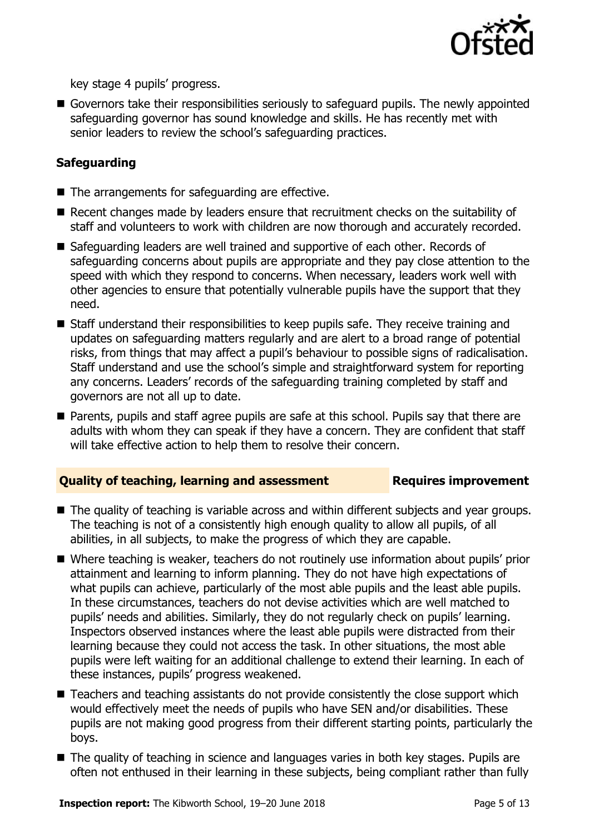

key stage 4 pupils' progress.

Governors take their responsibilities seriously to safeguard pupils. The newly appointed safeguarding governor has sound knowledge and skills. He has recently met with senior leaders to review the school's safeguarding practices.

### **Safeguarding**

- $\blacksquare$  The arrangements for safeguarding are effective.
- Recent changes made by leaders ensure that recruitment checks on the suitability of staff and volunteers to work with children are now thorough and accurately recorded.
- Safeguarding leaders are well trained and supportive of each other. Records of safeguarding concerns about pupils are appropriate and they pay close attention to the speed with which they respond to concerns. When necessary, leaders work well with other agencies to ensure that potentially vulnerable pupils have the support that they need.
- Staff understand their responsibilities to keep pupils safe. They receive training and updates on safeguarding matters regularly and are alert to a broad range of potential risks, from things that may affect a pupil's behaviour to possible signs of radicalisation. Staff understand and use the school's simple and straightforward system for reporting any concerns. Leaders' records of the safeguarding training completed by staff and governors are not all up to date.
- Parents, pupils and staff agree pupils are safe at this school. Pupils say that there are adults with whom they can speak if they have a concern. They are confident that staff will take effective action to help them to resolve their concern.

### **Quality of teaching, learning and assessment Requires improvement**

- The quality of teaching is variable across and within different subjects and year groups. The teaching is not of a consistently high enough quality to allow all pupils, of all abilities, in all subjects, to make the progress of which they are capable.
- Where teaching is weaker, teachers do not routinely use information about pupils' prior attainment and learning to inform planning. They do not have high expectations of what pupils can achieve, particularly of the most able pupils and the least able pupils. In these circumstances, teachers do not devise activities which are well matched to pupils' needs and abilities. Similarly, they do not regularly check on pupils' learning. Inspectors observed instances where the least able pupils were distracted from their learning because they could not access the task. In other situations, the most able pupils were left waiting for an additional challenge to extend their learning. In each of these instances, pupils' progress weakened.
- Teachers and teaching assistants do not provide consistently the close support which would effectively meet the needs of pupils who have SEN and/or disabilities. These pupils are not making good progress from their different starting points, particularly the boys.
- The quality of teaching in science and languages varies in both key stages. Pupils are often not enthused in their learning in these subjects, being compliant rather than fully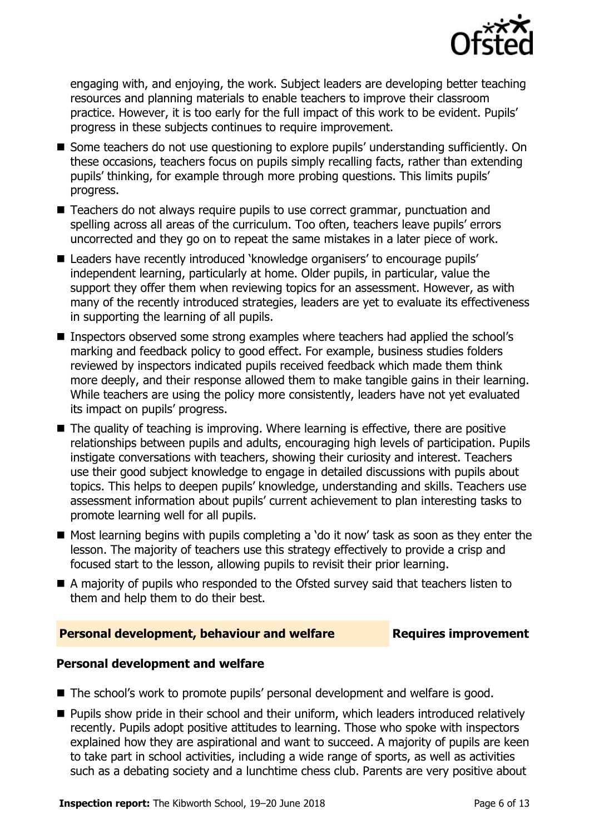

engaging with, and enjoying, the work. Subject leaders are developing better teaching resources and planning materials to enable teachers to improve their classroom practice. However, it is too early for the full impact of this work to be evident. Pupils' progress in these subjects continues to require improvement.

- Some teachers do not use questioning to explore pupils' understanding sufficiently. On these occasions, teachers focus on pupils simply recalling facts, rather than extending pupils' thinking, for example through more probing questions. This limits pupils' progress.
- Teachers do not always require pupils to use correct grammar, punctuation and spelling across all areas of the curriculum. Too often, teachers leave pupils' errors uncorrected and they go on to repeat the same mistakes in a later piece of work.
- Leaders have recently introduced 'knowledge organisers' to encourage pupils' independent learning, particularly at home. Older pupils, in particular, value the support they offer them when reviewing topics for an assessment. However, as with many of the recently introduced strategies, leaders are yet to evaluate its effectiveness in supporting the learning of all pupils.
- Inspectors observed some strong examples where teachers had applied the school's marking and feedback policy to good effect. For example, business studies folders reviewed by inspectors indicated pupils received feedback which made them think more deeply, and their response allowed them to make tangible gains in their learning. While teachers are using the policy more consistently, leaders have not yet evaluated its impact on pupils' progress.
- The quality of teaching is improving. Where learning is effective, there are positive relationships between pupils and adults, encouraging high levels of participation. Pupils instigate conversations with teachers, showing their curiosity and interest. Teachers use their good subject knowledge to engage in detailed discussions with pupils about topics. This helps to deepen pupils' knowledge, understanding and skills. Teachers use assessment information about pupils' current achievement to plan interesting tasks to promote learning well for all pupils.
- Most learning begins with pupils completing a 'do it now' task as soon as they enter the lesson. The majority of teachers use this strategy effectively to provide a crisp and focused start to the lesson, allowing pupils to revisit their prior learning.
- A majority of pupils who responded to the Ofsted survey said that teachers listen to them and help them to do their best.

### **Personal development, behaviour and welfare Fig. 2.1 Requires improvement**

### **Personal development and welfare**

- The school's work to promote pupils' personal development and welfare is good.
- **Pupils show pride in their school and their uniform, which leaders introduced relatively** recently. Pupils adopt positive attitudes to learning. Those who spoke with inspectors explained how they are aspirational and want to succeed. A majority of pupils are keen to take part in school activities, including a wide range of sports, as well as activities such as a debating society and a lunchtime chess club. Parents are very positive about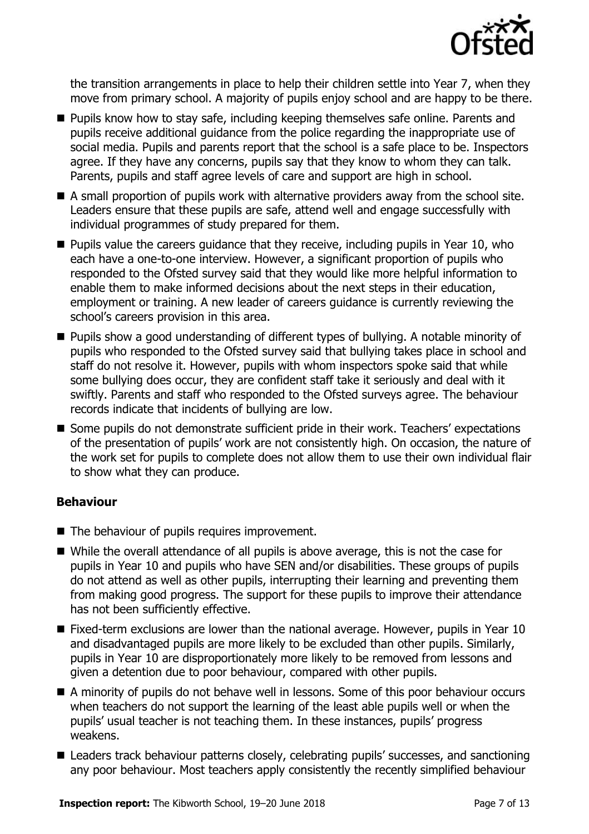

the transition arrangements in place to help their children settle into Year 7, when they move from primary school. A majority of pupils enjoy school and are happy to be there.

- **Pupils know how to stay safe, including keeping themselves safe online. Parents and** pupils receive additional guidance from the police regarding the inappropriate use of social media. Pupils and parents report that the school is a safe place to be. Inspectors agree. If they have any concerns, pupils say that they know to whom they can talk. Parents, pupils and staff agree levels of care and support are high in school.
- A small proportion of pupils work with alternative providers away from the school site. Leaders ensure that these pupils are safe, attend well and engage successfully with individual programmes of study prepared for them.
- $\blacksquare$  Pupils value the careers guidance that they receive, including pupils in Year 10, who each have a one-to-one interview. However, a significant proportion of pupils who responded to the Ofsted survey said that they would like more helpful information to enable them to make informed decisions about the next steps in their education, employment or training. A new leader of careers guidance is currently reviewing the school's careers provision in this area.
- Pupils show a good understanding of different types of bullying. A notable minority of pupils who responded to the Ofsted survey said that bullying takes place in school and staff do not resolve it. However, pupils with whom inspectors spoke said that while some bullying does occur, they are confident staff take it seriously and deal with it swiftly. Parents and staff who responded to the Ofsted surveys agree. The behaviour records indicate that incidents of bullying are low.
- Some pupils do not demonstrate sufficient pride in their work. Teachers' expectations of the presentation of pupils' work are not consistently high. On occasion, the nature of the work set for pupils to complete does not allow them to use their own individual flair to show what they can produce.

### **Behaviour**

- The behaviour of pupils requires improvement.
- While the overall attendance of all pupils is above average, this is not the case for pupils in Year 10 and pupils who have SEN and/or disabilities. These groups of pupils do not attend as well as other pupils, interrupting their learning and preventing them from making good progress. The support for these pupils to improve their attendance has not been sufficiently effective.
- Fixed-term exclusions are lower than the national average. However, pupils in Year 10 and disadvantaged pupils are more likely to be excluded than other pupils. Similarly, pupils in Year 10 are disproportionately more likely to be removed from lessons and given a detention due to poor behaviour, compared with other pupils.
- A minority of pupils do not behave well in lessons. Some of this poor behaviour occurs when teachers do not support the learning of the least able pupils well or when the pupils' usual teacher is not teaching them. In these instances, pupils' progress weakens.
- Leaders track behaviour patterns closely, celebrating pupils' successes, and sanctioning any poor behaviour. Most teachers apply consistently the recently simplified behaviour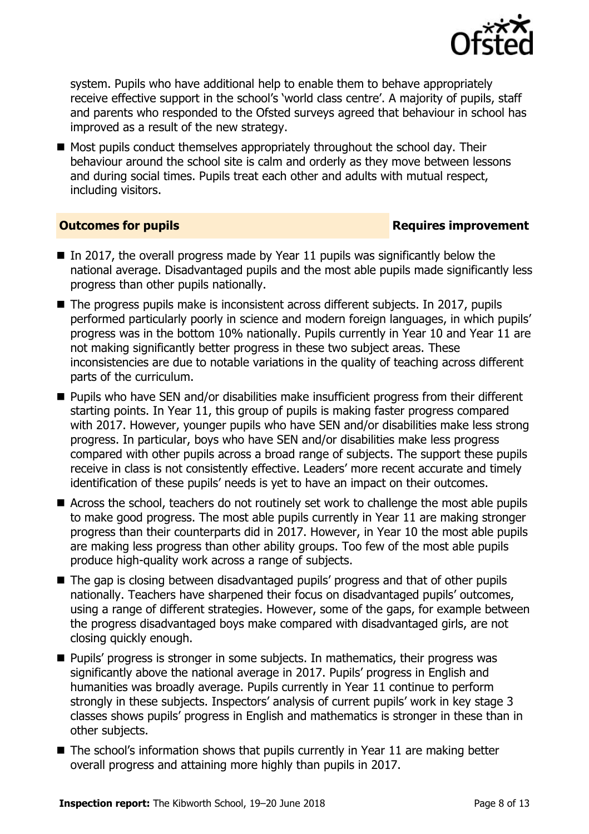

system. Pupils who have additional help to enable them to behave appropriately receive effective support in the school's 'world class centre'. A majority of pupils, staff and parents who responded to the Ofsted surveys agreed that behaviour in school has improved as a result of the new strategy.

■ Most pupils conduct themselves appropriately throughout the school day. Their behaviour around the school site is calm and orderly as they move between lessons and during social times. Pupils treat each other and adults with mutual respect, including visitors.

### **Outcomes for pupils Requires improvement**

- In 2017, the overall progress made by Year 11 pupils was significantly below the national average. Disadvantaged pupils and the most able pupils made significantly less progress than other pupils nationally.
- $\blacksquare$  The progress pupils make is inconsistent across different subjects. In 2017, pupils performed particularly poorly in science and modern foreign languages, in which pupils' progress was in the bottom 10% nationally. Pupils currently in Year 10 and Year 11 are not making significantly better progress in these two subject areas. These inconsistencies are due to notable variations in the quality of teaching across different parts of the curriculum.
- Pupils who have SEN and/or disabilities make insufficient progress from their different starting points. In Year 11, this group of pupils is making faster progress compared with 2017. However, younger pupils who have SEN and/or disabilities make less strong progress. In particular, boys who have SEN and/or disabilities make less progress compared with other pupils across a broad range of subjects. The support these pupils receive in class is not consistently effective. Leaders' more recent accurate and timely identification of these pupils' needs is yet to have an impact on their outcomes.
- Across the school, teachers do not routinely set work to challenge the most able pupils to make good progress. The most able pupils currently in Year 11 are making stronger progress than their counterparts did in 2017. However, in Year 10 the most able pupils are making less progress than other ability groups. Too few of the most able pupils produce high-quality work across a range of subjects.
- The gap is closing between disadvantaged pupils' progress and that of other pupils nationally. Teachers have sharpened their focus on disadvantaged pupils' outcomes, using a range of different strategies. However, some of the gaps, for example between the progress disadvantaged boys make compared with disadvantaged girls, are not closing quickly enough.
- **Pupils' progress is stronger in some subjects. In mathematics, their progress was** significantly above the national average in 2017. Pupils' progress in English and humanities was broadly average. Pupils currently in Year 11 continue to perform strongly in these subjects. Inspectors' analysis of current pupils' work in key stage 3 classes shows pupils' progress in English and mathematics is stronger in these than in other subjects.
- $\blacksquare$  The school's information shows that pupils currently in Year 11 are making better overall progress and attaining more highly than pupils in 2017.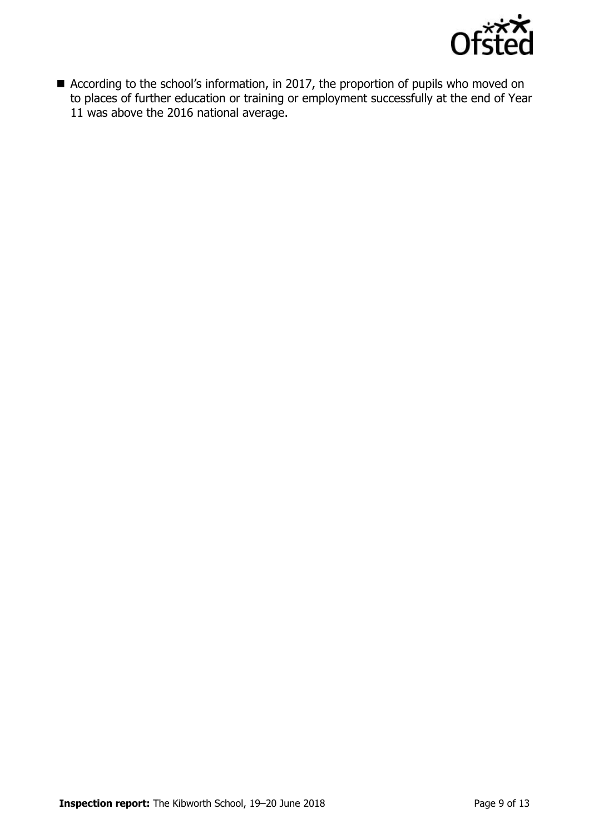

■ According to the school's information, in 2017, the proportion of pupils who moved on to places of further education or training or employment successfully at the end of Year 11 was above the 2016 national average.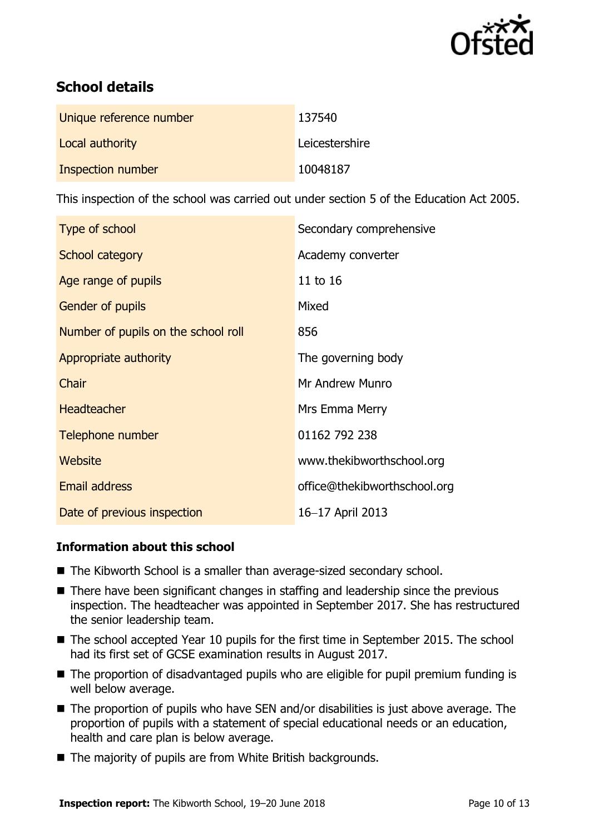

# **School details**

| Unique reference number  | 137540         |
|--------------------------|----------------|
| Local authority          | Leicestershire |
| <b>Inspection number</b> | 10048187       |

This inspection of the school was carried out under section 5 of the Education Act 2005.

| Type of school                      | Secondary comprehensive      |
|-------------------------------------|------------------------------|
| School category                     | Academy converter            |
| Age range of pupils                 | 11 to 16                     |
| Gender of pupils                    | Mixed                        |
| Number of pupils on the school roll | 856                          |
| Appropriate authority               | The governing body           |
| Chair                               | Mr Andrew Munro              |
| <b>Headteacher</b>                  | Mrs Emma Merry               |
| Telephone number                    | 01162 792 238                |
| Website                             | www.thekibworthschool.org    |
| <b>Email address</b>                | office@thekibworthschool.org |
| Date of previous inspection         | 16-17 April 2013             |

### **Information about this school**

- The Kibworth School is a smaller than average-sized secondary school.
- There have been significant changes in staffing and leadership since the previous inspection. The headteacher was appointed in September 2017. She has restructured the senior leadership team.
- The school accepted Year 10 pupils for the first time in September 2015. The school had its first set of GCSE examination results in August 2017.
- The proportion of disadvantaged pupils who are eligible for pupil premium funding is well below average.
- The proportion of pupils who have SEN and/or disabilities is just above average. The proportion of pupils with a statement of special educational needs or an education, health and care plan is below average.
- The majority of pupils are from White British backgrounds.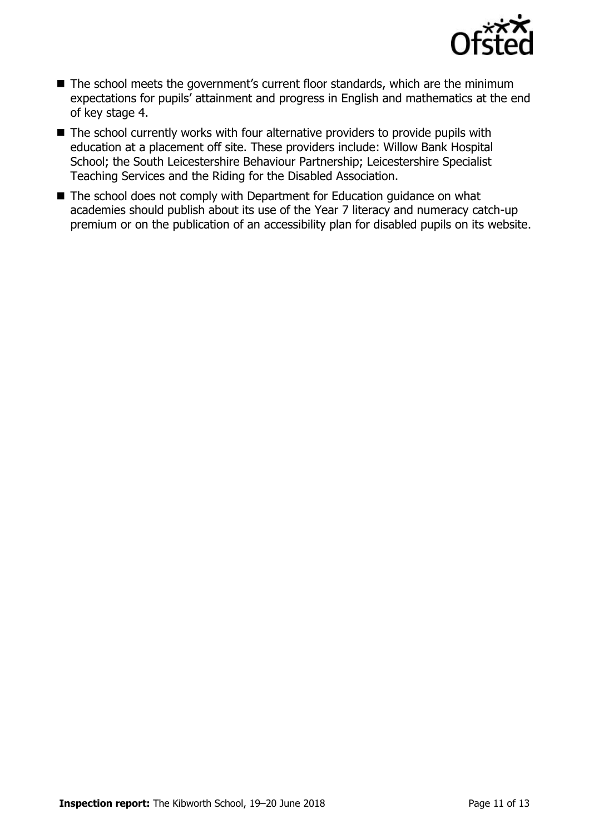

- The school meets the government's current floor standards, which are the minimum expectations for pupils' attainment and progress in English and mathematics at the end of key stage 4.
- The school currently works with four alternative providers to provide pupils with education at a placement off site. These providers include: Willow Bank Hospital School; the South Leicestershire Behaviour Partnership; Leicestershire Specialist Teaching Services and the Riding for the Disabled Association.
- The school does not comply with Department for Education guidance on what academies should publish about its use of the Year 7 literacy and numeracy catch-up premium or on the publication of an accessibility plan for disabled pupils on its website.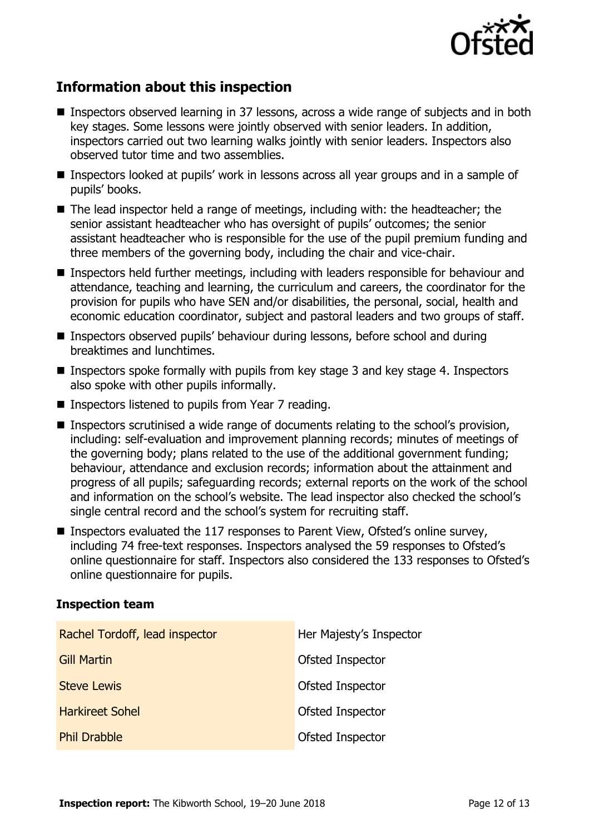

# **Information about this inspection**

- Inspectors observed learning in 37 lessons, across a wide range of subjects and in both key stages. Some lessons were jointly observed with senior leaders. In addition, inspectors carried out two learning walks jointly with senior leaders. Inspectors also observed tutor time and two assemblies.
- Inspectors looked at pupils' work in lessons across all year groups and in a sample of pupils' books.
- The lead inspector held a range of meetings, including with: the headteacher; the senior assistant headteacher who has oversight of pupils' outcomes; the senior assistant headteacher who is responsible for the use of the pupil premium funding and three members of the governing body, including the chair and vice-chair.
- Inspectors held further meetings, including with leaders responsible for behaviour and attendance, teaching and learning, the curriculum and careers, the coordinator for the provision for pupils who have SEN and/or disabilities, the personal, social, health and economic education coordinator, subject and pastoral leaders and two groups of staff.
- Inspectors observed pupils' behaviour during lessons, before school and during breaktimes and lunchtimes.
- **Inspectors spoke formally with pupils from key stage 3 and key stage 4. Inspectors** also spoke with other pupils informally.
- Inspectors listened to pupils from Year 7 reading.
- Inspectors scrutinised a wide range of documents relating to the school's provision, including: self-evaluation and improvement planning records; minutes of meetings of the governing body; plans related to the use of the additional government funding; behaviour, attendance and exclusion records; information about the attainment and progress of all pupils; safeguarding records; external reports on the work of the school and information on the school's website. The lead inspector also checked the school's single central record and the school's system for recruiting staff.
- Inspectors evaluated the 117 responses to Parent View, Ofsted's online survey, including 74 free-text responses. Inspectors analysed the 59 responses to Ofsted's online questionnaire for staff. Inspectors also considered the 133 responses to Ofsted's online questionnaire for pupils.

### **Inspection team**

| Rachel Tordoff, lead inspector | Her Majesty's Inspector |
|--------------------------------|-------------------------|
| <b>Gill Martin</b>             | <b>Ofsted Inspector</b> |
| <b>Steve Lewis</b>             | <b>Ofsted Inspector</b> |
| <b>Harkireet Sohel</b>         | Ofsted Inspector        |
| <b>Phil Drabble</b>            | Ofsted Inspector        |